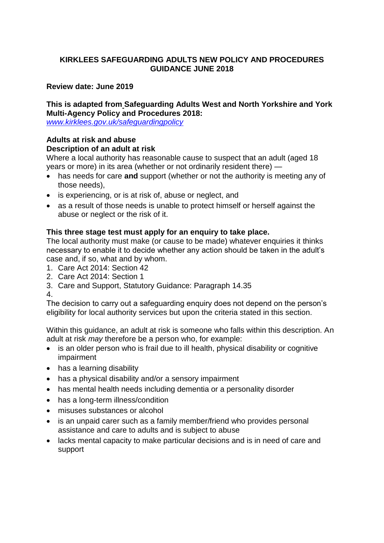# **KIRKLEES SAFEGUARDING ADULTS NEW POLICY AND PROCEDURES GUIDANCE JUNE 2018**

#### **Review date: June 2019**

#### **This is adapted from Safeguarding Adults West and North Yorkshire and York Multi-Agency Policy and Procedures 2018:**

*[www.kirklees.gov.uk/safeguardingpolicy](http://www.kirklees.gov.uk/safeguardingpolicy)*

### **Adults at risk and abuse Description of an adult at risk**

Where a local authority has reasonable cause to suspect that an adult (aged 18 years or more) in its area (whether or not ordinarily resident there) —

- has needs for care **and** support (whether or not the authority is meeting any of those needs),
- is experiencing, or is at risk of, abuse or neglect, and
- as a result of those needs is unable to protect himself or herself against the abuse or neglect or the risk of it.

## **This three stage test must apply for an enquiry to take place.**

The local authority must make (or cause to be made) whatever enquiries it thinks necessary to enable it to decide whether any action should be taken in the adult's case and, if so, what and by whom.

- 1. Care Act 2014: Section 42
- 2. Care Act 2014: Section 1
- 3. Care and Support, Statutory Guidance: Paragraph 14.35

4.

The decision to carry out a safeguarding enquiry does not depend on the person's eligibility for local authority services but upon the criteria stated in this section.

Within this guidance, an adult at risk is someone who falls within this description. An adult at risk *may* therefore be a person who, for example:

- is an older person who is frail due to ill health, physical disability or cognitive impairment
- has a learning disability
- has a physical disability and/or a sensory impairment
- has mental health needs including dementia or a personality disorder
- has a long-term illness/condition
- misuses substances or alcohol
- is an unpaid carer such as a family member/friend who provides personal assistance and care to adults and is subject to abuse
- lacks mental capacity to make particular decisions and is in need of care and support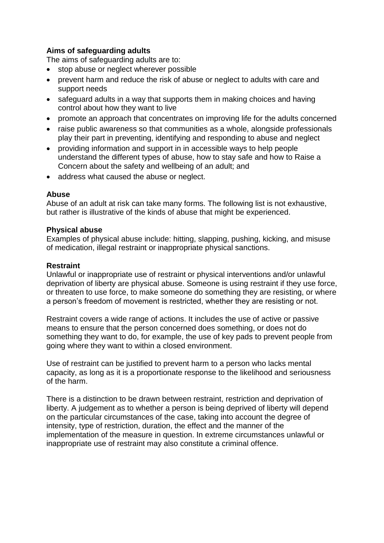# **Aims of safeguarding adults**

The aims of safeguarding adults are to:

- stop abuse or neglect wherever possible
- prevent harm and reduce the risk of abuse or neglect to adults with care and support needs
- safeguard adults in a way that supports them in making choices and having control about how they want to live
- promote an approach that concentrates on improving life for the adults concerned
- raise public awareness so that communities as a whole, alongside professionals play their part in preventing, identifying and responding to abuse and neglect
- providing information and support in in accessible ways to help people understand the different types of abuse, how to stay safe and how to Raise a Concern about the safety and wellbeing of an adult; and
- address what caused the abuse or neglect.

#### **Abuse**

Abuse of an adult at risk can take many forms. The following list is not exhaustive, but rather is illustrative of the kinds of abuse that might be experienced.

#### **Physical abuse**

Examples of physical abuse include: hitting, slapping, pushing, kicking, and misuse of medication, illegal restraint or inappropriate physical sanctions.

# **Restraint**

Unlawful or inappropriate use of restraint or physical interventions and/or unlawful deprivation of liberty are physical abuse. Someone is using restraint if they use force, or threaten to use force, to make someone do something they are resisting, or where a person's freedom of movement is restricted, whether they are resisting or not.

Restraint covers a wide range of actions. It includes the use of active or passive means to ensure that the person concerned does something, or does not do something they want to do, for example, the use of key pads to prevent people from going where they want to within a closed environment.

Use of restraint can be justified to prevent harm to a person who lacks mental capacity, as long as it is a proportionate response to the likelihood and seriousness of the harm.

There is a distinction to be drawn between restraint, restriction and deprivation of liberty. A judgement as to whether a person is being deprived of liberty will depend on the particular circumstances of the case, taking into account the degree of intensity, type of restriction, duration, the effect and the manner of the implementation of the measure in question. In extreme circumstances unlawful or inappropriate use of restraint may also constitute a criminal offence.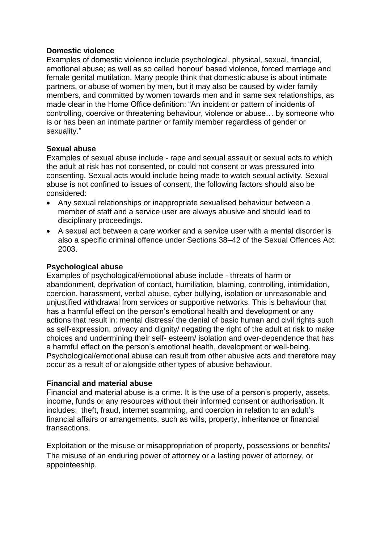#### **Domestic violence**

Examples of domestic violence include psychological, physical, sexual, financial, emotional abuse; as well as so called 'honour' based violence, forced marriage and female genital mutilation. Many people think that domestic abuse is about intimate partners, or abuse of women by men, but it may also be caused by wider family members, and committed by women towards men and in same sex relationships, as made clear in the Home Office definition: "An incident or pattern of incidents of controlling, coercive or threatening behaviour, violence or abuse… by someone who is or has been an intimate partner or family member regardless of gender or sexuality."

#### **Sexual abuse**

Examples of sexual abuse include - rape and sexual assault or sexual acts to which the adult at risk has not consented, or could not consent or was pressured into consenting. Sexual acts would include being made to watch sexual activity. Sexual abuse is not confined to issues of consent, the following factors should also be considered:

- Any sexual relationships or inappropriate sexualised behaviour between a member of staff and a service user are always abusive and should lead to disciplinary proceedings.
- A sexual act between a care worker and a service user with a mental disorder is also a specific criminal offence under Sections 38–42 of the Sexual Offences Act 2003.

#### **Psychological abuse**

Examples of psychological/emotional abuse include - threats of harm or abandonment, deprivation of contact, humiliation, blaming, controlling, intimidation, coercion, harassment, verbal abuse, cyber bullying, isolation or unreasonable and unjustified withdrawal from services or supportive networks. This is behaviour that has a harmful effect on the person's emotional health and development or any actions that result in: mental distress/ the denial of basic human and civil rights such as self-expression, privacy and dignity/ negating the right of the adult at risk to make choices and undermining their self- esteem/ isolation and over-dependence that has a harmful effect on the person's emotional health, development or well-being. Psychological/emotional abuse can result from other abusive acts and therefore may occur as a result of or alongside other types of abusive behaviour.

#### **Financial and material abuse**

Financial and material abuse is a crime. It is the use of a person's property, assets, income, funds or any resources without their informed consent or authorisation. It includes: theft, fraud, internet scamming, and coercion in relation to an adult's financial affairs or arrangements, such as wills, property, inheritance or financial transactions.

Exploitation or the misuse or misappropriation of property, possessions or benefits/ The misuse of an enduring power of attorney or a lasting power of attorney, or appointeeship.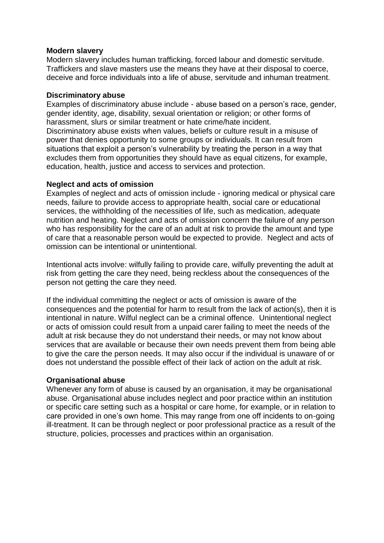#### **Modern slavery**

Modern slavery includes human trafficking, forced labour and domestic servitude. Traffickers and slave masters use the means they have at their disposal to coerce, deceive and force individuals into a life of abuse, servitude and inhuman treatment.

#### **Discriminatory abuse**

Examples of discriminatory abuse include - abuse based on a person's race, gender, gender identity, age, disability, sexual orientation or religion; or other forms of harassment, slurs or similar treatment or hate crime/hate incident. Discriminatory abuse exists when values, beliefs or culture result in a misuse of power that denies opportunity to some groups or individuals. It can result from situations that exploit a person's vulnerability by treating the person in a way that excludes them from opportunities they should have as equal citizens, for example, education, health, justice and access to services and protection.

#### **Neglect and acts of omission**

Examples of neglect and acts of omission include - ignoring medical or physical care needs, failure to provide access to appropriate health, social care or educational services, the withholding of the necessities of life, such as medication, adequate nutrition and heating. Neglect and acts of omission concern the failure of any person who has responsibility for the care of an adult at risk to provide the amount and type of care that a reasonable person would be expected to provide. Neglect and acts of omission can be intentional or unintentional.

Intentional acts involve: wilfully failing to provide care, wilfully preventing the adult at risk from getting the care they need, being reckless about the consequences of the person not getting the care they need.

If the individual committing the neglect or acts of omission is aware of the consequences and the potential for harm to result from the lack of action(s), then it is intentional in nature. Wilful neglect can be a criminal offence. Unintentional neglect or acts of omission could result from a unpaid carer failing to meet the needs of the adult at risk because they do not understand their needs, or may not know about services that are available or because their own needs prevent them from being able to give the care the person needs. It may also occur if the individual is unaware of or does not understand the possible effect of their lack of action on the adult at risk.

#### **Organisational abuse**

Whenever any form of abuse is caused by an organisation, it may be organisational abuse. Organisational abuse includes neglect and poor practice within an institution or specific care setting such as a hospital or care home, for example, or in relation to care provided in one's own home. This may range from one off incidents to on-going ill-treatment. It can be through neglect or poor professional practice as a result of the structure, policies, processes and practices within an organisation.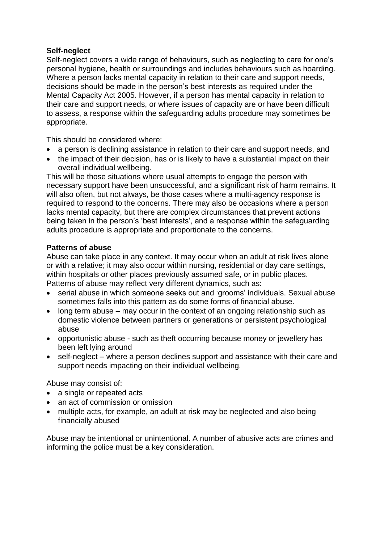## **Self-neglect**

Self-neglect covers a wide range of behaviours, such as neglecting to care for one's personal hygiene, health or surroundings and includes behaviours such as hoarding. Where a person lacks mental capacity in relation to their care and support needs, decisions should be made in the person's best interests as required under the Mental Capacity Act 2005. However, if a person has mental capacity in relation to their care and support needs, or where issues of capacity are or have been difficult to assess, a response within the safeguarding adults procedure may sometimes be appropriate.

This should be considered where:

- a person is declining assistance in relation to their care and support needs, and
- the impact of their decision, has or is likely to have a substantial impact on their overall individual wellbeing.

This will be those situations where usual attempts to engage the person with necessary support have been unsuccessful, and a significant risk of harm remains. It will also often, but not always, be those cases where a multi-agency response is required to respond to the concerns. There may also be occasions where a person lacks mental capacity, but there are complex circumstances that prevent actions being taken in the person's 'best interests', and a response within the safeguarding adults procedure is appropriate and proportionate to the concerns.

#### **Patterns of abuse**

Abuse can take place in any context. It may occur when an adult at risk lives alone or with a relative; it may also occur within nursing, residential or day care settings, within hospitals or other places previously assumed safe, or in public places. Patterns of abuse may reflect very different dynamics, such as:

- serial abuse in which someone seeks out and 'grooms' individuals. Sexual abuse sometimes falls into this pattern as do some forms of financial abuse.
- long term abuse may occur in the context of an ongoing relationship such as domestic violence between partners or generations or persistent psychological abuse
- opportunistic abuse such as theft occurring because money or jewellery has been left lying around
- self-neglect where a person declines support and assistance with their care and support needs impacting on their individual wellbeing.

Abuse may consist of:

- a single or repeated acts
- an act of commission or omission
- multiple acts, for example, an adult at risk may be neglected and also being financially abused

Abuse may be intentional or unintentional. A number of abusive acts are crimes and informing the police must be a key consideration.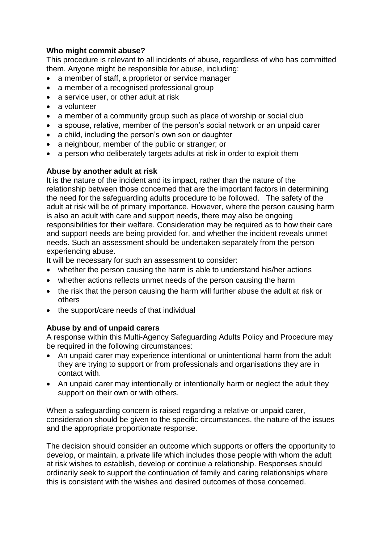# **Who might commit abuse?**

This procedure is relevant to all incidents of abuse, regardless of who has committed them. Anyone might be responsible for abuse, including:

- a member of staff, a proprietor or service manager
- a member of a recognised professional group
- a service user, or other adult at risk
- a volunteer
- a member of a community group such as place of worship or social club
- a spouse, relative, member of the person's social network or an unpaid carer
- a child, including the person's own son or daughter
- a neighbour, member of the public or stranger; or
- a person who deliberately targets adults at risk in order to exploit them

# **Abuse by another adult at risk**

It is the nature of the incident and its impact, rather than the nature of the relationship between those concerned that are the important factors in determining the need for the safeguarding adults procedure to be followed. The safety of the adult at risk will be of primary importance. However, where the person causing harm is also an adult with care and support needs, there may also be ongoing responsibilities for their welfare. Consideration may be required as to how their care and support needs are being provided for, and whether the incident reveals unmet needs. Such an assessment should be undertaken separately from the person experiencing abuse.

It will be necessary for such an assessment to consider:

- whether the person causing the harm is able to understand his/her actions
- whether actions reflects unmet needs of the person causing the harm
- the risk that the person causing the harm will further abuse the adult at risk or others
- the support/care needs of that individual

# **Abuse by and of unpaid carers**

A response within this Multi-Agency Safeguarding Adults Policy and Procedure may be required in the following circumstances:

- An unpaid carer may experience intentional or unintentional harm from the adult they are trying to support or from professionals and organisations they are in contact with.
- An unpaid carer may intentionally or intentionally harm or neglect the adult they support on their own or with others.

When a safeguarding concern is raised regarding a relative or unpaid carer, consideration should be given to the specific circumstances, the nature of the issues and the appropriate proportionate response.

The decision should consider an outcome which supports or offers the opportunity to develop, or maintain, a private life which includes those people with whom the adult at risk wishes to establish, develop or continue a relationship. Responses should ordinarily seek to support the continuation of family and caring relationships where this is consistent with the wishes and desired outcomes of those concerned.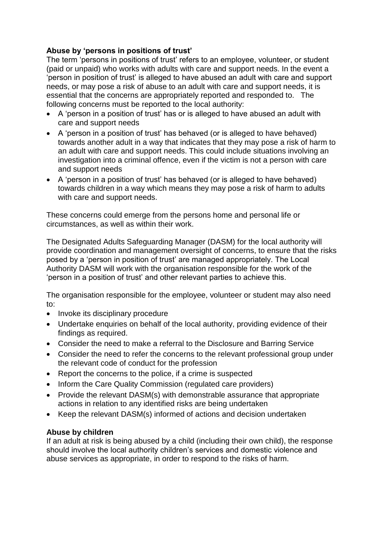# **Abuse by 'persons in positions of trust'**

The term 'persons in positions of trust' refers to an employee, volunteer, or student (paid or unpaid) who works with adults with care and support needs. In the event a 'person in position of trust' is alleged to have abused an adult with care and support needs, or may pose a risk of abuse to an adult with care and support needs, it is essential that the concerns are appropriately reported and responded to. The following concerns must be reported to the local authority:

- A 'person in a position of trust' has or is alleged to have abused an adult with care and support needs
- A 'person in a position of trust' has behaved (or is alleged to have behaved) towards another adult in a way that indicates that they may pose a risk of harm to an adult with care and support needs. This could include situations involving an investigation into a criminal offence, even if the victim is not a person with care and support needs
- A 'person in a position of trust' has behaved (or is alleged to have behaved) towards children in a way which means they may pose a risk of harm to adults with care and support needs.

These concerns could emerge from the persons home and personal life or circumstances, as well as within their work.

The Designated Adults Safeguarding Manager (DASM) for the local authority will provide coordination and management oversight of concerns, to ensure that the risks posed by a 'person in position of trust' are managed appropriately. The Local Authority DASM will work with the organisation responsible for the work of the 'person in a position of trust' and other relevant parties to achieve this.

The organisation responsible for the employee, volunteer or student may also need to:

- Invoke its disciplinary procedure
- Undertake enquiries on behalf of the local authority, providing evidence of their findings as required.
- Consider the need to make a referral to the Disclosure and Barring Service
- Consider the need to refer the concerns to the relevant professional group under the relevant code of conduct for the profession
- Report the concerns to the police, if a crime is suspected
- Inform the Care Quality Commission (regulated care providers)
- Provide the relevant DASM(s) with demonstrable assurance that appropriate actions in relation to any identified risks are being undertaken
- Keep the relevant DASM(s) informed of actions and decision undertaken

#### **Abuse by children**

If an adult at risk is being abused by a child (including their own child), the response should involve the local authority children's services and domestic violence and abuse services as appropriate, in order to respond to the risks of harm.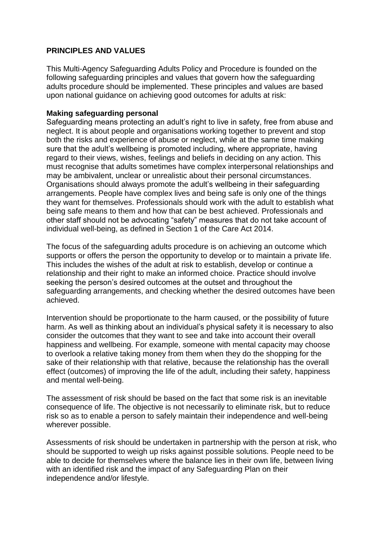## **PRINCIPLES AND VALUES**

This Multi-Agency Safeguarding Adults Policy and Procedure is founded on the following safeguarding principles and values that govern how the safeguarding adults procedure should be implemented. These principles and values are based upon national guidance on achieving good outcomes for adults at risk:

#### **Making safeguarding personal**

Safeguarding means protecting an adult's right to live in safety, free from abuse and neglect. It is about people and organisations working together to prevent and stop both the risks and experience of abuse or neglect, while at the same time making sure that the adult's wellbeing is promoted including, where appropriate, having regard to their views, wishes, feelings and beliefs in deciding on any action. This must recognise that adults sometimes have complex interpersonal relationships and may be ambivalent, unclear or unrealistic about their personal circumstances. Organisations should always promote the adult's wellbeing in their safeguarding arrangements. People have complex lives and being safe is only one of the things they want for themselves. Professionals should work with the adult to establish what being safe means to them and how that can be best achieved. Professionals and other staff should not be advocating "safety" measures that do not take account of individual well-being, as defined in Section 1 of the Care Act 2014.

The focus of the safeguarding adults procedure is on achieving an outcome which supports or offers the person the opportunity to develop or to maintain a private life. This includes the wishes of the adult at risk to establish, develop or continue a relationship and their right to make an informed choice. Practice should involve seeking the person's desired outcomes at the outset and throughout the safeguarding arrangements, and checking whether the desired outcomes have been achieved.

Intervention should be proportionate to the harm caused, or the possibility of future harm. As well as thinking about an individual's physical safety it is necessary to also consider the outcomes that they want to see and take into account their overall happiness and wellbeing. For example, someone with mental capacity may choose to overlook a relative taking money from them when they do the shopping for the sake of their relationship with that relative, because the relationship has the overall effect (outcomes) of improving the life of the adult, including their safety, happiness and mental well-being.

The assessment of risk should be based on the fact that some risk is an inevitable consequence of life. The objective is not necessarily to eliminate risk, but to reduce risk so as to enable a person to safely maintain their independence and well-being wherever possible.

Assessments of risk should be undertaken in partnership with the person at risk, who should be supported to weigh up risks against possible solutions. People need to be able to decide for themselves where the balance lies in their own life, between living with an identified risk and the impact of any Safeguarding Plan on their independence and/or lifestyle.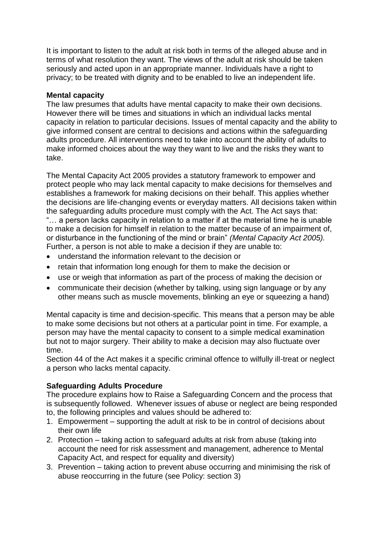It is important to listen to the adult at risk both in terms of the alleged abuse and in terms of what resolution they want. The views of the adult at risk should be taken seriously and acted upon in an appropriate manner. Individuals have a right to privacy; to be treated with dignity and to be enabled to live an independent life.

#### **Mental capacity**

The law presumes that adults have mental capacity to make their own decisions. However there will be times and situations in which an individual lacks mental capacity in relation to particular decisions. Issues of mental capacity and the ability to give informed consent are central to decisions and actions within the safeguarding adults procedure. All interventions need to take into account the ability of adults to make informed choices about the way they want to live and the risks they want to take.

The Mental Capacity Act 2005 provides a statutory framework to empower and protect people who may lack mental capacity to make decisions for themselves and establishes a framework for making decisions on their behalf. This applies whether the decisions are life-changing events or everyday matters. All decisions taken within the safeguarding adults procedure must comply with the Act. The Act says that: "… a person lacks capacity in relation to a matter if at the material time he is unable to make a decision for himself in relation to the matter because of an impairment of, or disturbance in the functioning of the mind or brain" *(Mental Capacity Act 2005).* 

- Further, a person is not able to make a decision if they are unable to:
- understand the information relevant to the decision or
- retain that information long enough for them to make the decision or
- use or weigh that information as part of the process of making the decision or
- communicate their decision (whether by talking, using sign language or by any other means such as muscle movements, blinking an eye or squeezing a hand)

Mental capacity is time and decision-specific. This means that a person may be able to make some decisions but not others at a particular point in time. For example, a person may have the mental capacity to consent to a simple medical examination but not to major surgery. Their ability to make a decision may also fluctuate over time.

Section 44 of the Act makes it a specific criminal offence to wilfully ill-treat or neglect a person who lacks mental capacity.

#### **Safeguarding Adults Procedure**

The procedure explains how to Raise a Safeguarding Concern and the process that is subsequently followed. Whenever issues of abuse or neglect are being responded to, the following principles and values should be adhered to:

- 1. Empowerment supporting the adult at risk to be in control of decisions about their own life
- 2. Protection taking action to safeguard adults at risk from abuse (taking into account the need for risk assessment and management, adherence to Mental Capacity Act, and respect for equality and diversity)
- 3. Prevention taking action to prevent abuse occurring and minimising the risk of abuse reoccurring in the future (see Policy: section 3)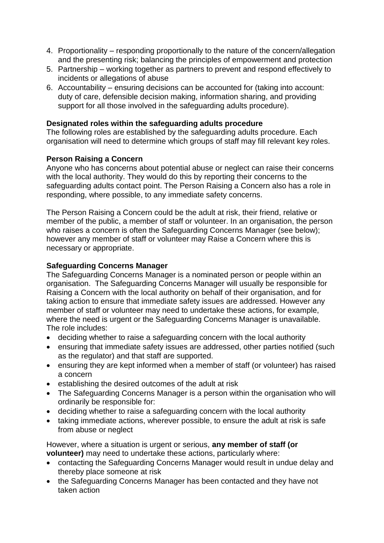- 4. Proportionality responding proportionally to the nature of the concern/allegation and the presenting risk; balancing the principles of empowerment and protection
- 5. Partnership working together as partners to prevent and respond effectively to incidents or allegations of abuse
- 6. Accountability ensuring decisions can be accounted for (taking into account: duty of care, defensible decision making, information sharing, and providing support for all those involved in the safeguarding adults procedure).

## **Designated roles within the safeguarding adults procedure**

The following roles are established by the safeguarding adults procedure. Each organisation will need to determine which groups of staff may fill relevant key roles.

## **Person Raising a Concern**

Anyone who has concerns about potential abuse or neglect can raise their concerns with the local authority. They would do this by reporting their concerns to the safeguarding adults contact point. The Person Raising a Concern also has a role in responding, where possible, to any immediate safety concerns.

The Person Raising a Concern could be the adult at risk, their friend, relative or member of the public, a member of staff or volunteer. In an organisation, the person who raises a concern is often the Safeguarding Concerns Manager (see below); however any member of staff or volunteer may Raise a Concern where this is necessary or appropriate.

# **Safeguarding Concerns Manager**

The Safeguarding Concerns Manager is a nominated person or people within an organisation. The Safeguarding Concerns Manager will usually be responsible for Raising a Concern with the local authority on behalf of their organisation, and for taking action to ensure that immediate safety issues are addressed. However any member of staff or volunteer may need to undertake these actions, for example, where the need is urgent or the Safeguarding Concerns Manager is unavailable. The role includes:

- deciding whether to raise a safeguarding concern with the local authority
- ensuring that immediate safety issues are addressed, other parties notified (such as the regulator) and that staff are supported.
- ensuring they are kept informed when a member of staff (or volunteer) has raised a concern
- establishing the desired outcomes of the adult at risk
- The Safeguarding Concerns Manager is a person within the organisation who will ordinarily be responsible for:
- deciding whether to raise a safeguarding concern with the local authority
- taking immediate actions, wherever possible, to ensure the adult at risk is safe from abuse or neglect

However, where a situation is urgent or serious, **any member of staff (or volunteer)** may need to undertake these actions, particularly where:

- contacting the Safeguarding Concerns Manager would result in undue delay and thereby place someone at risk
- the Safeguarding Concerns Manager has been contacted and they have not taken action